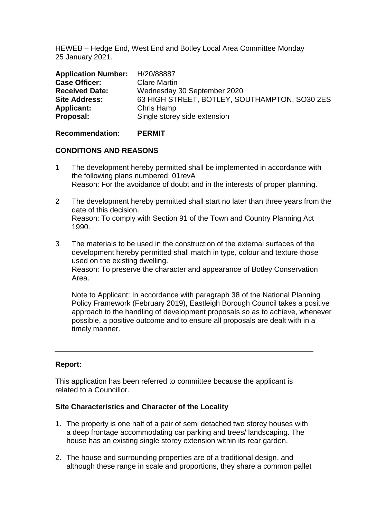HEWEB – Hedge End, West End and Botley Local Area Committee Monday 25 January 2021.

| Application Number: H/20/88887 |                                               |
|--------------------------------|-----------------------------------------------|
| <b>Case Officer:</b>           | <b>Clare Martin</b>                           |
| <b>Received Date:</b>          | Wednesday 30 September 2020                   |
| <b>Site Address:</b>           | 63 HIGH STREET, BOTLEY, SOUTHAMPTON, SO30 2ES |
| <b>Applicant:</b>              | Chris Hamp                                    |
| Proposal:                      | Single storey side extension                  |

#### **Recommendation: PERMIT**

## **CONDITIONS AND REASONS**

- 1 The development hereby permitted shall be implemented in accordance with the following plans numbered: 01revA Reason: For the avoidance of doubt and in the interests of proper planning.
- 2 The development hereby permitted shall start no later than three years from the date of this decision. Reason: To comply with Section 91 of the Town and Country Planning Act 1990.
- 3 The materials to be used in the construction of the external surfaces of the development hereby permitted shall match in type, colour and texture those used on the existing dwelling.

Reason: To preserve the character and appearance of Botley Conservation Area.

Note to Applicant: In accordance with paragraph 38 of the National Planning Policy Framework (February 2019), Eastleigh Borough Council takes a positive approach to the handling of development proposals so as to achieve, whenever possible, a positive outcome and to ensure all proposals are dealt with in a timely manner.

## **Report:**

This application has been referred to committee because the applicant is related to a Councillor.

## **Site Characteristics and Character of the Locality**

- 1. The property is one half of a pair of semi detached two storey houses with a deep frontage accommodating car parking and trees/ landscaping. The house has an existing single storey extension within its rear garden.
- 2. The house and surrounding properties are of a traditional design, and although these range in scale and proportions, they share a common pallet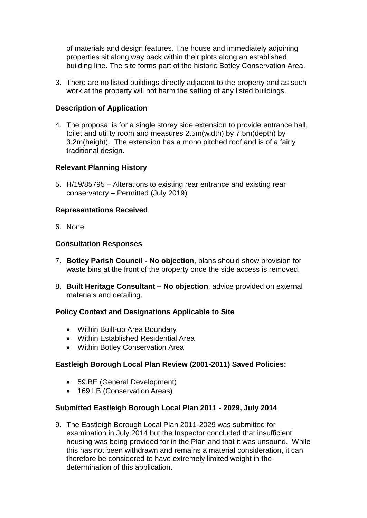of materials and design features. The house and immediately adjoining properties sit along way back within their plots along an established building line. The site forms part of the historic Botley Conservation Area.

3. There are no listed buildings directly adjacent to the property and as such work at the property will not harm the setting of any listed buildings.

## **Description of Application**

4. The proposal is for a single storey side extension to provide entrance hall, toilet and utility room and measures 2.5m(width) by 7.5m(depth) by 3.2m(height). The extension has a mono pitched roof and is of a fairly traditional design.

#### **Relevant Planning History**

5. H/19/85795 – Alterations to existing rear entrance and existing rear conservatory – Permitted (July 2019)

#### **Representations Received**

6. None

#### **Consultation Responses**

- 7. **Botley Parish Council - No objection**, plans should show provision for waste bins at the front of the property once the side access is removed.
- 8. **Built Heritage Consultant – No objection**, advice provided on external materials and detailing.

#### **Policy Context and Designations Applicable to Site**

- Within Built-up Area Boundary
- Within Established Residential Area
- Within Botley Conservation Area

## **Eastleigh Borough Local Plan Review (2001-2011) Saved Policies:**

- 59.BE (General Development)
- 169.LB (Conservation Areas)

## **Submitted Eastleigh Borough Local Plan 2011 - 2029, July 2014**

9. The Eastleigh Borough Local Plan 2011-2029 was submitted for examination in July 2014 but the Inspector concluded that insufficient housing was being provided for in the Plan and that it was unsound. While this has not been withdrawn and remains a material consideration, it can therefore be considered to have extremely limited weight in the determination of this application.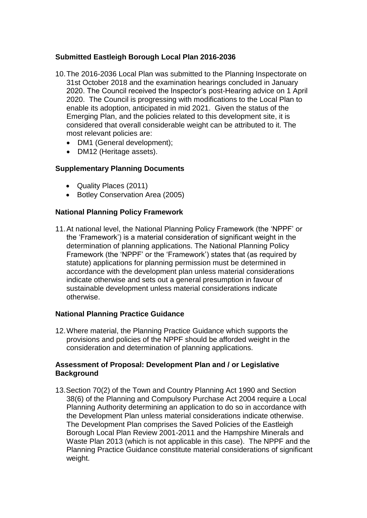# **Submitted Eastleigh Borough Local Plan 2016-2036**

- 10.The 2016-2036 Local Plan was submitted to the Planning Inspectorate on 31st October 2018 and the examination hearings concluded in January 2020. The Council received the Inspector's post-Hearing advice on 1 April 2020. The Council is progressing with modifications to the Local Plan to enable its adoption, anticipated in mid 2021. Given the status of the Emerging Plan, and the policies related to this development site, it is considered that overall considerable weight can be attributed to it. The most relevant policies are:
	- DM1 (General development):
	- DM12 (Heritage assets).

# **Supplementary Planning Documents**

- Quality Places (2011)
- Botley Conservation Area (2005)

# **National Planning Policy Framework**

11.At national level, the National Planning Policy Framework (the 'NPPF' or the 'Framework') is a material consideration of significant weight in the determination of planning applications. The National Planning Policy Framework (the 'NPPF' or the 'Framework') states that (as required by statute) applications for planning permission must be determined in accordance with the development plan unless material considerations indicate otherwise and sets out a general presumption in favour of sustainable development unless material considerations indicate otherwise.

## **National Planning Practice Guidance**

12.Where material, the Planning Practice Guidance which supports the provisions and policies of the NPPF should be afforded weight in the consideration and determination of planning applications.

## **Assessment of Proposal: Development Plan and / or Legislative Background**

13.Section 70(2) of the Town and Country Planning Act 1990 and Section 38(6) of the Planning and Compulsory Purchase Act 2004 require a Local Planning Authority determining an application to do so in accordance with the Development Plan unless material considerations indicate otherwise. The Development Plan comprises the Saved Policies of the Eastleigh Borough Local Plan Review 2001-2011 and the Hampshire Minerals and Waste Plan 2013 (which is not applicable in this case). The NPPF and the Planning Practice Guidance constitute material considerations of significant weight.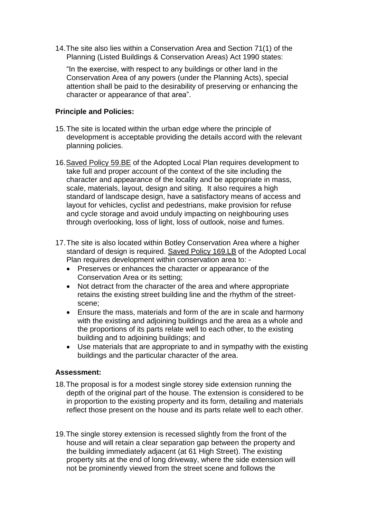14.The site also lies within a Conservation Area and Section 71(1) of the Planning (Listed Buildings & Conservation Areas) Act 1990 states:

"In the exercise, with respect to any buildings or other land in the Conservation Area of any powers (under the Planning Acts), special attention shall be paid to the desirability of preserving or enhancing the character or appearance of that area".

## **Principle and Policies:**

- 15.The site is located within the urban edge where the principle of development is acceptable providing the details accord with the relevant planning policies.
- 16.Saved Policy 59.BE of the Adopted Local Plan requires development to take full and proper account of the context of the site including the character and appearance of the locality and be appropriate in mass, scale, materials, layout, design and siting. It also requires a high standard of landscape design, have a satisfactory means of access and layout for vehicles, cyclist and pedestrians, make provision for refuse and cycle storage and avoid unduly impacting on neighbouring uses through overlooking, loss of light, loss of outlook, noise and fumes.
- 17.The site is also located within Botley Conservation Area where a higher standard of design is required. Saved Policy 169.LB of the Adopted Local Plan requires development within conservation area to: -
	- Preserves or enhances the character or appearance of the Conservation Area or its setting;
	- Not detract from the character of the area and where appropriate retains the existing street building line and the rhythm of the streetscene;
	- Ensure the mass, materials and form of the are in scale and harmony with the existing and adjoining buildings and the area as a whole and the proportions of its parts relate well to each other, to the existing building and to adjoining buildings; and
	- Use materials that are appropriate to and in sympathy with the existing buildings and the particular character of the area.

## **Assessment:**

- 18.The proposal is for a modest single storey side extension running the depth of the original part of the house. The extension is considered to be in proportion to the existing property and its form, detailing and materials reflect those present on the house and its parts relate well to each other.
- 19.The single storey extension is recessed slightly from the front of the house and will retain a clear separation gap between the property and the building immediately adjacent (at 61 High Street). The existing property sits at the end of long driveway, where the side extension will not be prominently viewed from the street scene and follows the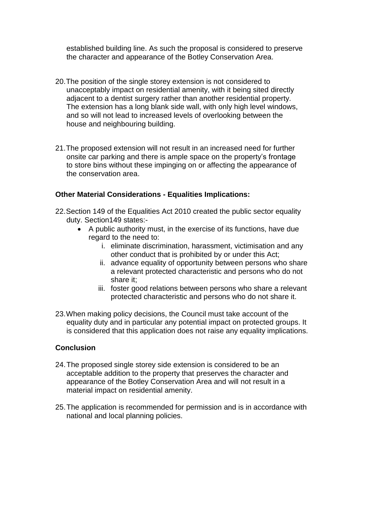established building line. As such the proposal is considered to preserve the character and appearance of the Botley Conservation Area.

- 20.The position of the single storey extension is not considered to unacceptably impact on residential amenity, with it being sited directly adjacent to a dentist surgery rather than another residential property. The extension has a long blank side wall, with only high level windows, and so will not lead to increased levels of overlooking between the house and neighbouring building.
- 21.The proposed extension will not result in an increased need for further onsite car parking and there is ample space on the property's frontage to store bins without these impinging on or affecting the appearance of the conservation area.

## **Other Material Considerations - Equalities Implications:**

- 22.Section 149 of the Equalities Act 2010 created the public sector equality duty. Section149 states:-
	- A public authority must, in the exercise of its functions, have due regard to the need to:
		- i. eliminate discrimination, harassment, victimisation and any other conduct that is prohibited by or under this Act;
		- ii. advance equality of opportunity between persons who share a relevant protected characteristic and persons who do not share it;
		- iii. foster good relations between persons who share a relevant protected characteristic and persons who do not share it.
- 23.When making policy decisions, the Council must take account of the equality duty and in particular any potential impact on protected groups. It is considered that this application does not raise any equality implications.

## **Conclusion**

- 24.The proposed single storey side extension is considered to be an acceptable addition to the property that preserves the character and appearance of the Botley Conservation Area and will not result in a material impact on residential amenity.
- 25.The application is recommended for permission and is in accordance with national and local planning policies.